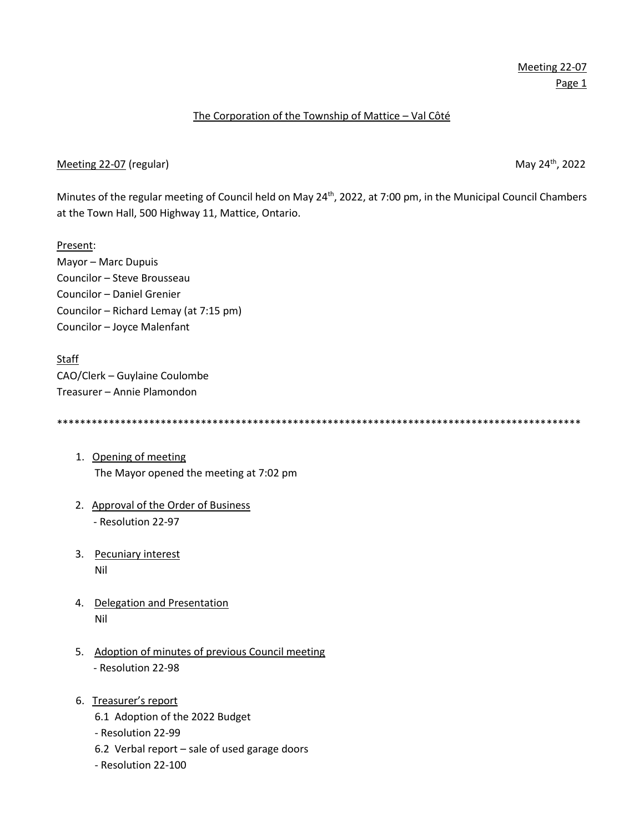## The Corporation of the Township of Mattice – Val Côté

## Meeting 22-07 (regular) May 24<sup>th</sup>, 2022

Minutes of the regular meeting of Council held on May 24<sup>th</sup>, 2022, at 7:00 pm, in the Municipal Council Chambers at the Town Hall, 500 Highway 11, Mattice, Ontario.

Present: Mayor – Marc Dupuis Councilor – Steve Brousseau Councilor – Daniel Grenier Councilor – Richard Lemay (at 7:15 pm) Councilor – Joyce Malenfant

Staff CAO/Clerk – Guylaine Coulombe Treasurer – Annie Plamondon

\*\*\*\*\*\*\*\*\*\*\*\*\*\*\*\*\*\*\*\*\*\*\*\*\*\*\*\*\*\*\*\*\*\*\*\*\*\*\*\*\*\*\*\*\*\*\*\*\*\*\*\*\*\*\*\*\*\*\*\*\*\*\*\*\*\*\*\*\*\*\*\*\*\*\*\*\*\*\*\*\*\*\*\*\*\*\*\*\*\*\*

- 1. Opening of meeting The Mayor opened the meeting at 7:02 pm
- 2. Approval of the Order of Business - Resolution 22-97
- 3. Pecuniary interest Nil
- 4. Delegation and Presentation Nil
- 5. Adoption of minutes of previous Council meeting - Resolution 22-98
- 6. Treasurer's report
	- 6.1 Adoption of the 2022 Budget
	- Resolution 22-99
	- 6.2 Verbal report sale of used garage doors
	- Resolution 22-100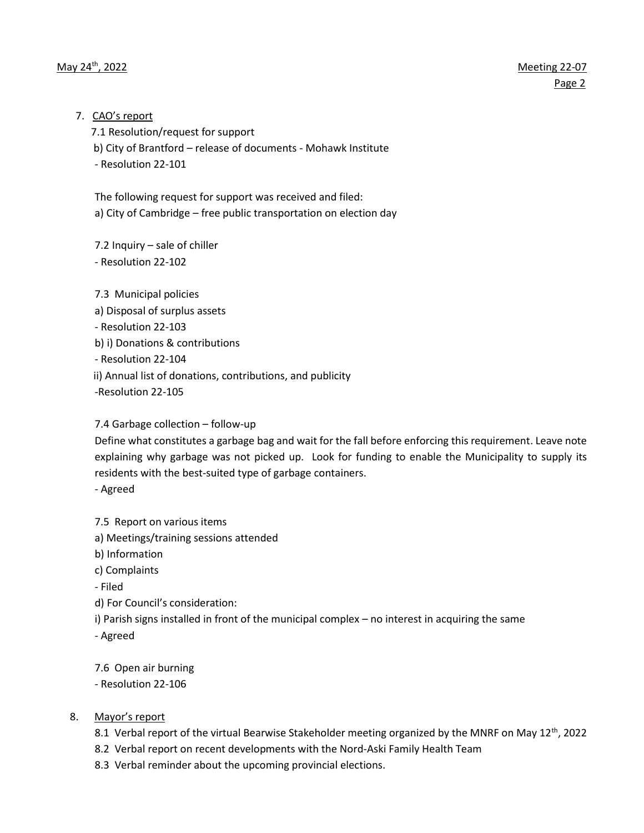## 7. CAO's report

7.1 Resolution/request for support

b) City of Brantford – release of documents - Mohawk Institute

- Resolution 22-101

The following request for support was received and filed: a) City of Cambridge – free public transportation on election day

7.2 Inquiry – sale of chiller - Resolution 22-102

7.3 Municipal policies a) Disposal of surplus assets - Resolution 22-103 b) i) Donations & contributions - Resolution 22-104 ii) Annual list of donations, contributions, and publicity -Resolution 22-105

# 7.4 Garbage collection – follow-up

Define what constitutes a garbage bag and wait for the fall before enforcing this requirement. Leave note explaining why garbage was not picked up. Look for funding to enable the Municipality to supply its residents with the best-suited type of garbage containers.

- Agreed

7.5 Report on various items

a) Meetings/training sessions attended

b) Information

c) Complaints

- Filed

d) For Council's consideration:

i) Parish signs installed in front of the municipal complex – no interest in acquiring the same

- Agreed

7.6 Open air burning

- Resolution 22-106

# 8. Mayor's report

- 8.1 Verbal report of the virtual Bearwise Stakeholder meeting organized by the MNRF on May  $12^{th}$ , 2022
- 8.2 Verbal report on recent developments with the Nord-Aski Family Health Team
- 8.3 Verbal reminder about the upcoming provincial elections.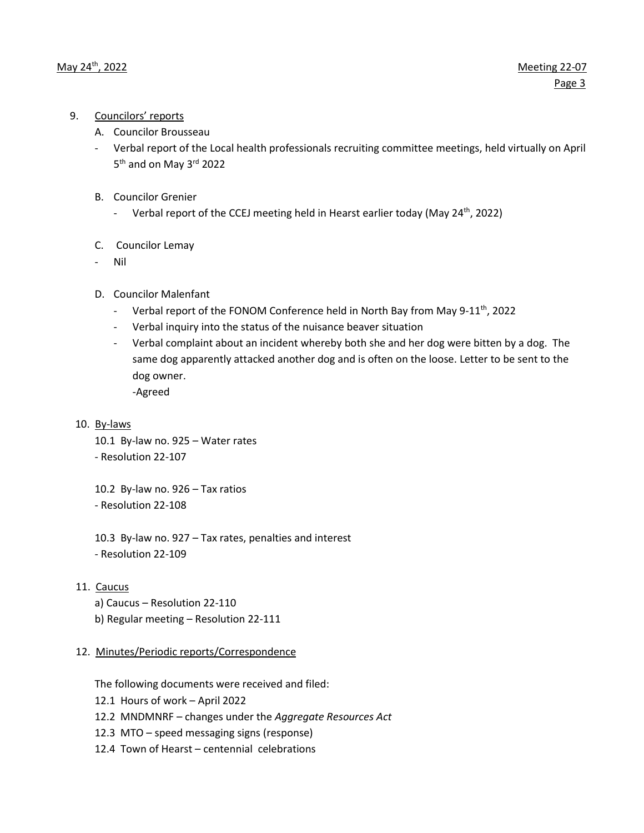- 9. Councilors' reports
	- A. Councilor Brousseau
	- Verbal report of the Local health professionals recruiting committee meetings, held virtually on April 5<sup>th</sup> and on May 3<sup>rd</sup> 2022
	- B. Councilor Grenier
		- Verbal report of the CCEJ meeting held in Hearst earlier today (May 24<sup>th</sup>, 2022)
	- C. Councilor Lemay
	- Nil
	- D. Councilor Malenfant
		- Verbal report of the FONOM Conference held in North Bay from May 9-11<sup>th</sup>, 2022
		- Verbal inquiry into the status of the nuisance beaver situation
		- Verbal complaint about an incident whereby both she and her dog were bitten by a dog. The same dog apparently attacked another dog and is often on the loose. Letter to be sent to the dog owner.

-Agreed

10. By-laws

10.1 By-law no. 925 – Water rates

- Resolution 22-107

10.2 By-law no. 926 – Tax ratios - Resolution 22-108

10.3 By-law no. 927 – Tax rates, penalties and interest - Resolution 22-109

- 11. Caucus
	- a) Caucus Resolution 22-110
	- b) Regular meeting Resolution 22-111

## 12. Minutes/Periodic reports/Correspondence

The following documents were received and filed:

- 12.1 Hours of work April 2022
- 12.2 MNDMNRF changes under the *Aggregate Resources Act*
- 12.3 MTO speed messaging signs (response)
- 12.4 Town of Hearst centennial celebrations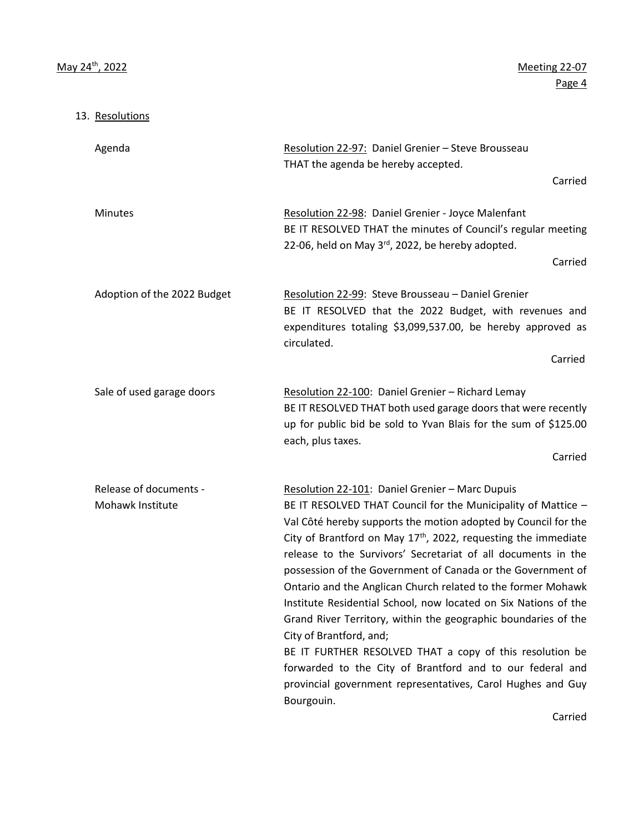13. Resolutions

Agenda **Resolution 22-97: Daniel Grenier – Steve Brousseau** THAT the agenda be hereby accepted. Carried Minutes **Resolution 22-98:** Daniel Grenier - Joyce Malenfant BE IT RESOLVED THAT the minutes of Council's regular meeting 22-06, held on May  $3<sup>rd</sup>$ , 2022, be hereby adopted. Carried Adoption of the 2022 Budget Resolution 22-99: Steve Brousseau – Daniel Grenier BE IT RESOLVED that the 2022 Budget, with revenues and expenditures totaling \$3,099,537.00, be hereby approved as circulated. **Carried Carried** Sale of used garage doors Resolution 22-100: Daniel Grenier – Richard Lemay BE IT RESOLVED THAT both used garage doors that were recently up for public bid be sold to Yvan Blais for the sum of \$125.00 each, plus taxes. Carried Release of documents - Resolution 22-101: Daniel Grenier – Marc Dupuis Mohawk Institute **BE IT RESOLVED THAT Council for the Municipality of Mattice –** Val Côté hereby supports the motion adopted by Council for the City of Brantford on May  $17<sup>th</sup>$ , 2022, requesting the immediate release to the Survivors' Secretariat of all documents in the possession of the Government of Canada or the Government of Ontario and the Anglican Church related to the former Mohawk Institute Residential School, now located on Six Nations of the Grand River Territory, within the geographic boundaries of the City of Brantford, and; BE IT FURTHER RESOLVED THAT a copy of this resolution be forwarded to the City of Brantford and to our federal and provincial government representatives, Carol Hughes and Guy Bourgouin.

Carried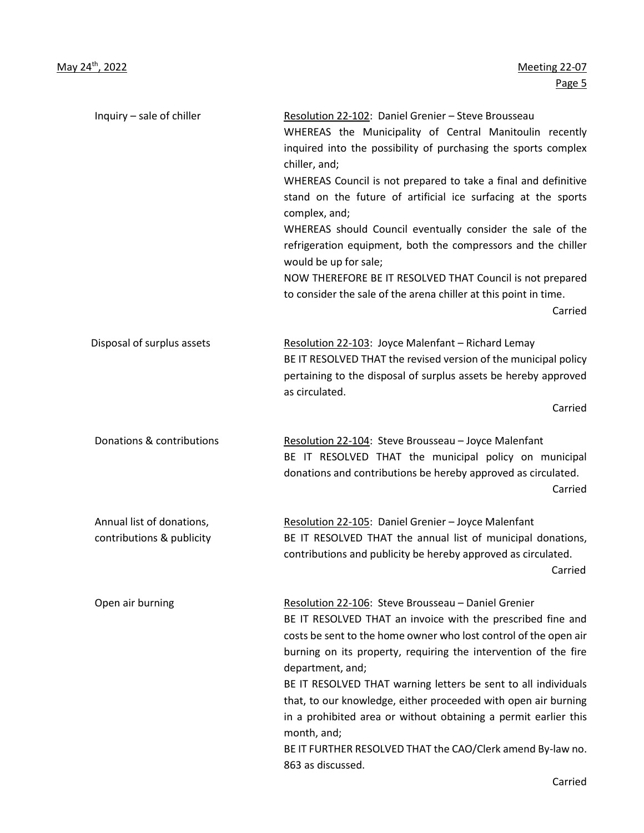| Inquiry - sale of chiller                              | Resolution 22-102: Daniel Grenier - Steve Brousseau<br>WHEREAS the Municipality of Central Manitoulin recently<br>inquired into the possibility of purchasing the sports complex<br>chiller, and;<br>WHEREAS Council is not prepared to take a final and definitive<br>stand on the future of artificial ice surfacing at the sports<br>complex, and;<br>WHEREAS should Council eventually consider the sale of the<br>refrigeration equipment, both the compressors and the chiller<br>would be up for sale;<br>NOW THEREFORE BE IT RESOLVED THAT Council is not prepared<br>to consider the sale of the arena chiller at this point in time.<br>Carried |
|--------------------------------------------------------|-----------------------------------------------------------------------------------------------------------------------------------------------------------------------------------------------------------------------------------------------------------------------------------------------------------------------------------------------------------------------------------------------------------------------------------------------------------------------------------------------------------------------------------------------------------------------------------------------------------------------------------------------------------|
| Disposal of surplus assets                             | Resolution 22-103: Joyce Malenfant - Richard Lemay<br>BE IT RESOLVED THAT the revised version of the municipal policy<br>pertaining to the disposal of surplus assets be hereby approved<br>as circulated.<br>Carried                                                                                                                                                                                                                                                                                                                                                                                                                                     |
| Donations & contributions                              | Resolution 22-104: Steve Brousseau - Joyce Malenfant<br>BE IT RESOLVED THAT the municipal policy on municipal<br>donations and contributions be hereby approved as circulated.<br>Carried                                                                                                                                                                                                                                                                                                                                                                                                                                                                 |
| Annual list of donations,<br>contributions & publicity | Resolution 22-105: Daniel Grenier - Joyce Malenfant<br>BE IT RESOLVED THAT the annual list of municipal donations,<br>contributions and publicity be hereby approved as circulated.<br>Carried                                                                                                                                                                                                                                                                                                                                                                                                                                                            |
| Open air burning                                       | Resolution 22-106: Steve Brousseau - Daniel Grenier<br>BE IT RESOLVED THAT an invoice with the prescribed fine and<br>costs be sent to the home owner who lost control of the open air<br>burning on its property, requiring the intervention of the fire<br>department, and;<br>BE IT RESOLVED THAT warning letters be sent to all individuals<br>that, to our knowledge, either proceeded with open air burning<br>in a prohibited area or without obtaining a permit earlier this<br>month, and;<br>BE IT FURTHER RESOLVED THAT the CAO/Clerk amend By-law no.<br>863 as discussed.                                                                    |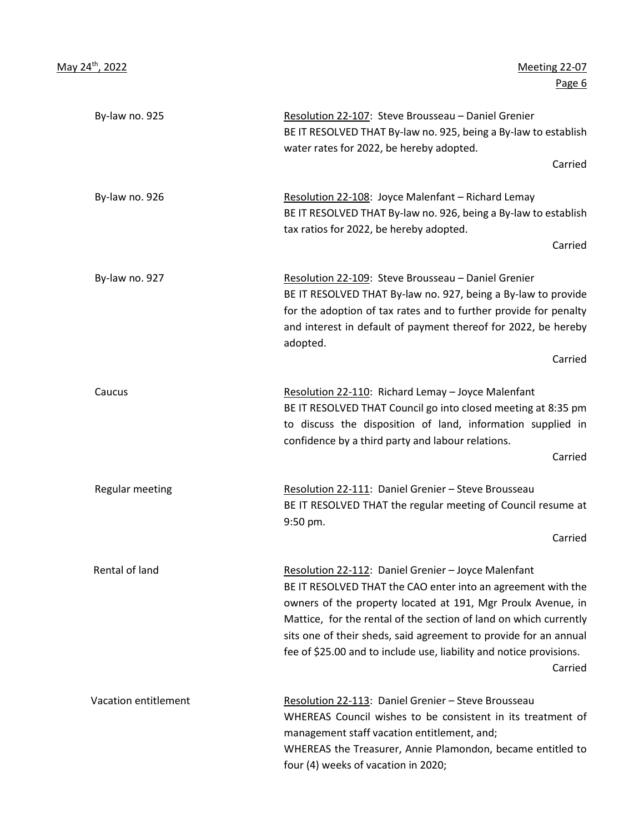**Page 6 Page 6** 

| Resolution 22-107: Steve Brousseau - Daniel Grenier<br>BE IT RESOLVED THAT By-law no. 925, being a By-law to establish<br>water rates for 2022, be hereby adopted.                                                                                                                                                                                                                                             | By-law no. 925       |
|----------------------------------------------------------------------------------------------------------------------------------------------------------------------------------------------------------------------------------------------------------------------------------------------------------------------------------------------------------------------------------------------------------------|----------------------|
| Carried                                                                                                                                                                                                                                                                                                                                                                                                        |                      |
| Resolution 22-108: Joyce Malenfant - Richard Lemay<br>BE IT RESOLVED THAT By-law no. 926, being a By-law to establish<br>tax ratios for 2022, be hereby adopted.<br>Carried                                                                                                                                                                                                                                    | By-law no. 926       |
| Resolution 22-109: Steve Brousseau - Daniel Grenier<br>BE IT RESOLVED THAT By-law no. 927, being a By-law to provide<br>for the adoption of tax rates and to further provide for penalty<br>and interest in default of payment thereof for 2022, be hereby<br>adopted.<br>Carried                                                                                                                              | By-law no. 927       |
| Resolution 22-110: Richard Lemay - Joyce Malenfant<br>BE IT RESOLVED THAT Council go into closed meeting at 8:35 pm<br>to discuss the disposition of land, information supplied in<br>confidence by a third party and labour relations.                                                                                                                                                                        | Caucus               |
| Carried<br>Resolution 22-111: Daniel Grenier - Steve Brousseau<br>BE IT RESOLVED THAT the regular meeting of Council resume at<br>9:50 pm.<br>Carried                                                                                                                                                                                                                                                          | Regular meeting      |
| Resolution 22-112: Daniel Grenier - Joyce Malenfant<br>BE IT RESOLVED THAT the CAO enter into an agreement with the<br>owners of the property located at 191, Mgr Proulx Avenue, in<br>Mattice, for the rental of the section of land on which currently<br>sits one of their sheds, said agreement to provide for an annual<br>fee of \$25.00 and to include use, liability and notice provisions.<br>Carried | Rental of land       |
| Resolution 22-113: Daniel Grenier - Steve Brousseau<br>WHEREAS Council wishes to be consistent in its treatment of<br>management staff vacation entitlement, and;<br>WHEREAS the Treasurer, Annie Plamondon, became entitled to<br>four (4) weeks of vacation in 2020;                                                                                                                                         | Vacation entitlement |